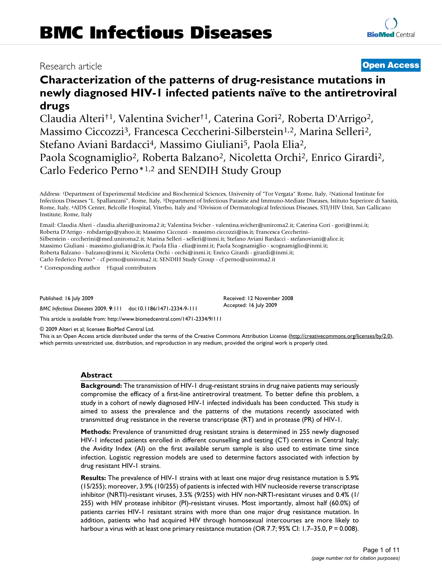# Research article **[Open Access](http://www.biomedcentral.com/info/about/charter/)**

**[BioMed](http://www.biomedcentral.com/)** Central

# **Characterization of the patterns of drug-resistance mutations in newly diagnosed HIV-1 infected patients naïve to the antiretroviral drugs**

Claudia Alteri†1, Valentina Svicher†1, Caterina Gori2, Roberta D'Arrigo2, Massimo Ciccozzi<sup>3</sup>, Francesca Ceccherini-Silberstein<sup>1,2</sup>, Marina Selleri<sup>2</sup>, Stefano Aviani Bardacci<sup>4</sup>, Massimo Giuliani<sup>5</sup>, Paola Elia<sup>2</sup>, Paola Scognamiglio<sup>2</sup>, Roberta Balzano<sup>2</sup>, Nicoletta Orchi<sup>2</sup>, Enrico Girardi<sup>2</sup>, Carlo Federico Perno\*1,2 and SENDIH Study Group

Address: 1Department of Experimental Medicine and Biochemical Sciences, University of "Tor Vergata" Rome, Italy, 2National Institute for Infectious Diseases "L. Spallanzani", Rome, Italy, 3Department of Infectious Parasite and Immuno-Mediate Diseases, Istituto Superiore di Sanità, Rome, Italy, 4AIDS Center, Belcolle Hospital, Viterbo, Italy and 5Division of Dermatological Infectious Diseases, STI/HIV Unit, San Gallicano Institute, Rome, Italy

Email: Claudia Alteri - claudia.alteri@uniroma2.it; Valentina Svicher - valentina.svicher@uniroma2.it; Caterina Gori - gori@inmi.it; Roberta D'Arrigo - robdarrigo@yahoo.it; Massimo Ciccozzi - massimo.ciccozzi@iss.it; Francesca Ceccherini-Silberstein - ceccherini@med.uniroma2.it; Marina Selleri - selleri@inmi.it; Stefano Aviani Bardacci - stefanoviani@alice.it; Massimo Giuliani - massimo.giuliani@iss.it; Paola Elia - elia@inmi.it; Paola Scognamiglio - scognamiglio@inmi.it; Roberta Balzano - balzano@inmi.it; Nicoletta Orchi - orchi@inmi.it; Enrico Girardi - girardi@inmi.it; Carlo Federico Perno\* - cf.perno@uniroma2.it; SENDIH Study Group - cf.perno@uniroma2.it

\* Corresponding author †Equal contributors

Published: 16 July 2009

*BMC Infectious Diseases* 2009, **9**:111 doi:10.1186/1471-2334-9-111

[This article is available from: http://www.biomedcentral.com/1471-2334/9/111](http://www.biomedcentral.com/1471-2334/9/111)

© 2009 Alteri et al; licensee BioMed Central Ltd.

This is an Open Access article distributed under the terms of the Creative Commons Attribution License [\(http://creativecommons.org/licenses/by/2.0\)](http://creativecommons.org/licenses/by/2.0), which permits unrestricted use, distribution, and reproduction in any medium, provided the original work is properly cited.

Received: 12 November 2008 Accepted: 16 July 2009

#### **Abstract**

**Background:** The transmission of HIV-1 drug-resistant strains in drug naive patients may seriously compromise the efficacy of a first-line antiretroviral treatment. To better define this problem, a study in a cohort of newly diagnosed HIV-1 infected individuals has been conducted. This study is aimed to assess the prevalence and the patterns of the mutations recently associated with transmitted drug resistance in the reverse transcriptase (RT) and in protease (PR) of HIV-1.

**Methods:** Prevalence of transmitted drug resistant strains is determined in 255 newly diagnosed HIV-1 infected patients enrolled in different counselling and testing (CT) centres in Central Italy; the Avidity Index (AI) on the first available serum sample is also used to estimate time since infection. Logistic regression models are used to determine factors associated with infection by drug resistant HIV-1 strains.

**Results:** The prevalence of HIV-1 strains with at least one major drug resistance mutation is 5.9% (15/255); moreover, 3.9% (10/255) of patients is infected with HIV nucleoside reverse transcriptase inhibitor (NRTI)-resistant viruses, 3.5% (9/255) with HIV non-NRTI-resistant viruses and 0.4% (1/ 255) with HIV protease inhibitor (PI)-resistant viruses. Most importantly, almost half (60.0%) of patients carries HIV-1 resistant strains with more than one major drug resistance mutation. In addition, patients who had acquired HIV through homosexual intercourses are more likely to harbour a virus with at least one primary resistance mutation (OR 7.7; 95% CI: 1.7–35.0, P = 0.008).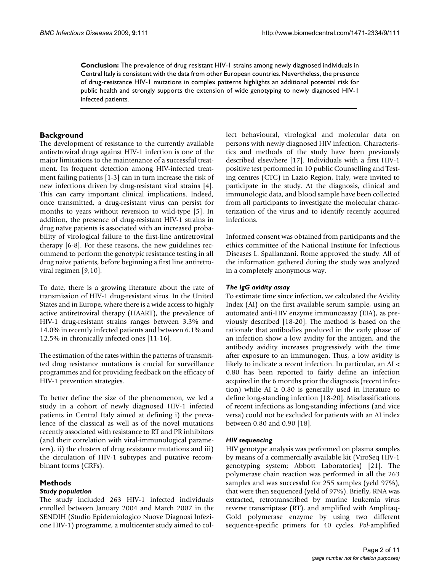**Conclusion:** The prevalence of drug resistant HIV-1 strains among newly diagnosed individuals in Central Italy is consistent with the data from other European countries. Nevertheless, the presence of drug-resistance HIV-1 mutations in complex patterns highlights an additional potential risk for public health and strongly supports the extension of wide genotyping to newly diagnosed HIV-1 infected patients.

# **Background**

The development of resistance to the currently available antiretroviral drugs against HIV-1 infection is one of the major limitations to the maintenance of a successful treatment. Its frequent detection among HIV-infected treatment failing patients [1-3] can in turn increase the risk of new infections driven by drug-resistant viral strains [4]. This can carry important clinical implications. Indeed, once transmitted, a drug-resistant virus can persist for months to years without reversion to wild-type [5]. In addition, the presence of drug-resistant HIV-1 strains in drug naïve patients is associated with an increased probability of virological failure to the first-line antiretroviral therapy [6-8]. For these reasons, the new guidelines recommend to perform the genotypic resistance testing in all drug naive patients, before beginning a first line antiretroviral regimen [9,10].

To date, there is a growing literature about the rate of transmission of HIV-1 drug-resistant virus. In the United States and in Europe, where there is a wide access to highly active antiretroviral therapy (HAART), the prevalence of HIV-1 drug-resistant strains ranges between 3.3% and 14.0% in recently infected patients and between 6.1% and 12.5% in chronically infected ones [11-16].

The estimation of the rates within the patterns of transmitted drug resistance mutations is crucial for surveillance programmes and for providing feedback on the efficacy of HIV-1 prevention strategies.

To better define the size of the phenomenon, we led a study in a cohort of newly diagnosed HIV-1 infected patients in Central Italy aimed at defining i) the prevalence of the classical as well as of the novel mutations recently associated with resistance to RT and PR inhibitors (and their correlation with viral-immunological parameters), ii) the clusters of drug resistance mutations and iii) the circulation of HIV-1 subtypes and putative recombinant forms (CRFs).

# **Methods**

#### *Study population*

The study included 263 HIV-1 infected individuals enrolled between January 2004 and March 2007 in the SENDIH (Studio Epidemiologico Nuove Diagnosi Infezione HIV-1) programme, a multicenter study aimed to collect behavioural, virological and molecular data on persons with newly diagnosed HIV infection. Characteristics and methods of the study have been previously described elsewhere [17]. Individuals with a first HIV-1 positive test performed in 10 public Counselling and Testing centres (CTC) in Lazio Region, Italy, were invited to participate in the study. At the diagnosis, clinical and immunologic data, and blood sample have been collected from all participants to investigate the molecular characterization of the virus and to identify recently acquired infections.

Informed consent was obtained from participants and the ethics committee of the National Institute for Infectious Diseases L. Spallanzani, Rome approved the study. All of the information gathered during the study was analyzed in a completely anonymous way.

#### *The IgG avidity assay*

To estimate time since infection, we calculated the Avidity Index (AI) on the first available serum sample, using an automated anti-HIV enzyme immunoassay (EIA), as previously described [18-20]. The method is based on the rationale that antibodies produced in the early phase of an infection show a low avidity for the antigen, and the antibody avidity increases progressively with the time after exposure to an immunogen. Thus, a low avidity is likely to indicate a recent infection. In particular, an AI < 0.80 has been reported to fairly define an infection acquired in the 6 months prior the diagnosis (recent infection) while AI  $\geq$  0.80 is generally used in literature to define long-standing infection [18-20]. Misclassifications of recent infections as long-standing infections (and vice versa) could not be excluded for patients with an AI index between 0.80 and 0.90 [18].

#### *HIV sequencing*

HIV genotype analysis was performed on plasma samples by means of a commercially available kit (ViroSeq HIV-1 genotyping system; Abbott Laboratories) [21]. The polymerase chain reaction was performed in all the 263 samples and was successful for 255 samples (yeld 97%), that were then sequenced (yeld of 97%). Briefly, RNA was extracted, retrotranscribed by murine leukemia virus reverse transcriptase (RT), and amplified with Amplitaq-Gold polymerase enzyme by using two different sequence-specific primers for 40 cycles. *Pol*-amplified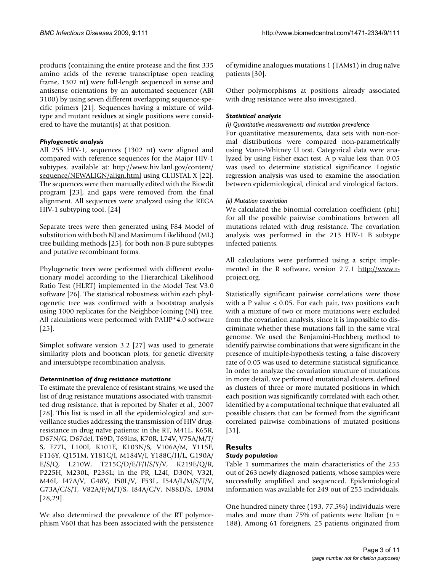products (containing the entire protease and the first 335 amino acids of the reverse transcriptase open reading frame, 1302 nt) were full-length sequenced in sense and antisense orientations by an automated sequencer (ABI 3100) by using seven different overlapping sequence-specific primers [21]. Sequences having a mixture of wildtype and mutant residues at single positions were considered to have the mutant(s) at that position.

#### *Phylogenetic analysis*

All 255 HIV-1, sequences (1302 nt) were aligned and compared with reference sequences for the Major HIV-1 subtypes, available at: [http://www.hiv.lanl.gov/content/](http://www.hiv.lanl.gov/content/sequence/NEWALIGN/align.html) [sequence/NEWALIGN/align.html](http://www.hiv.lanl.gov/content/sequence/NEWALIGN/align.html) using CLUSTAL X [22]. The sequences were then manually edited with the Bioedit program [23], and gaps were removed from the final alignment. All sequences were analyzed using the REGA HIV-1 subtyping tool. [24]

Separate trees were then generated using F84 Model of substitution with both NJ and Maximum Likelihood (ML) tree building methods [25], for both non-B pure subtypes and putative recombinant forms.

Phylogenetic trees were performed with different evolutionary model according to the Hierarchical Likelihood Ratio Test (HLRT) implemented in the Model Test V3.0 software [26]. The statistical robustness within each phylogenetic tree was confirmed with a bootstrap analysis using 1000 replicates for the Neighbor-Joining (NJ) tree. All calculations were performed with PAUP\*4.0 software [25].

Simplot software version 3.2 [27] was used to generate similarity plots and bootscan plots, for genetic diversity and intersubtype recombination analysis.

#### *Determination of drug resistance mutations*

To estimate the prevalence of resistant strains, we used the list of drug resistance mutations associated with transmitted drug resistance, that is reported by Shafer et al., 2007 [28]. This list is used in all the epidemiological and surveillance studies addressing the transmission of HIV drugresistance in drug naïve patients: in the RT, M41L, K65R, D67N/G, D67del, T69D, T69ins, K70R, L74V, V75A/M/T/ S, F77L, L100I, K101E, K103N/S, V106A/M, Y115F, F116Y, Q151M, Y181C/I, M184V/I, Y188C/H/L, G190A/ E/S/Q, L210W, T215C/D/E/F/I/S/Y/V, K219E/Q/R, P225H, M230L, P236L; in the PR, L24I, D30N, V32I, M46I, I47A/V, G48V, I50L/V, F53L, I54A/L/M/S/T/V, G73A/C/S/T, V82A/F/M/T/S, I84A/C/V, N88D/S, L90M [28,29].

We also determined the prevalence of the RT polymorphism V60I that has been associated with the persistence of tymidine analogues mutations 1 (TAMs1) in drug naïve patients [30].

Other polymorphisms at positions already associated with drug resistance were also investigated.

#### *Statistical analysis*

#### *(i) Quantitative measurements and mutation prevalence*

For quantitative measurements, data sets with non-normal distributions were compared non-parametrically using Mann-Whitney U test. Categorical data were analyzed by using Fisher exact test. A p value less than 0.05 was used to determine statistical significance. Logistic regression analysis was used to examine the association between epidemiological, clinical and virological factors.

#### *(ii) Mutation covariation*

We calculated the binomial correlation coefficient (phi) for all the possible pairwise combinations between all mutations related with drug resistance. The covariation analysis was performed in the 213 HIV-1 B subtype infected patients.

All calculations were performed using a script implemented in the R software, version 2.7.1 [http://www.r](http://www.r-project.org)[project.org](http://www.r-project.org).

Statistically significant pairwise correlations were those with a P value < 0.05. For each pair, two positions each with a mixture of two or more mutations were excluded from the covariation analysis, since it is impossible to discriminate whether these mutations fall in the same viral genome. We used the Benjamini-Hochberg method to identify pairwise combinations that were significant in the presence of multiple-hypothesis testing; a false discovery rate of 0.05 was used to determine statistical significance. In order to analyze the covariation structure of mutations in more detail, we performed mutational clusters, defined as clusters of three or more mutated positions in which each position was significantly correlated with each other, identified by a computational technique that evaluated all possible clusters that can be formed from the significant correlated pairwise combinations of mutated positions [31].

# **Results**

#### *Study population*

Table 1 summarizes the main characteristics of the 255 out of 263 newly diagnosed patients, whose samples were successfully amplified and sequenced. Epidemiological information was available for 249 out of 255 individuals.

One hundred ninety three (193, 77.5%) individuals were males and more than 75% of patients were Italian ( $n =$ 188). Among 61 foreigners, 25 patients originated from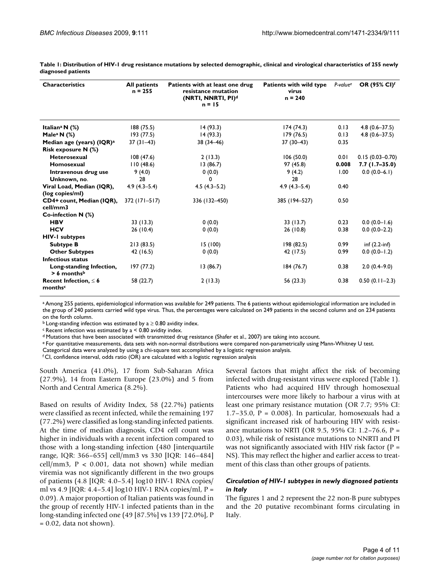| <b>Characteristics</b>                                | <b>All patients</b><br>$n = 255$ | Patients with at least one drug<br>resistance mutation<br>(NRTI, NNRTI, PI) <sup>d</sup><br>$n = 15$ | <b>Patients with wild type</b><br>virus<br>$n = 240$ | P-value <sup>e</sup> | <b>OR (95% CI)f</b> |
|-------------------------------------------------------|----------------------------------|------------------------------------------------------------------------------------------------------|------------------------------------------------------|----------------------|---------------------|
| Italian <sup>a</sup> N $(\%)$                         | 188 (75.5)                       | 14(93.3)                                                                                             | 174(74.3)                                            | 0.13                 | $4.8(0.6 - 37.5)$   |
| Male <sup>a</sup> N $(\%)$                            | 193 (77.5)                       | 14(93.3)                                                                                             | 179(76.5)                                            | 0.13                 | $4.8(0.6 - 37.5)$   |
| Median age (years) (IQR) <sup>a</sup>                 | $37(31-43)$                      | 38 (34-46)                                                                                           | $37(30-43)$                                          | 0.35                 |                     |
| Risk exposure N (%)                                   |                                  |                                                                                                      |                                                      |                      |                     |
| <b>Heterosexual</b>                                   | 108(47.6)                        | 2(13.3)                                                                                              | 106(50.0)                                            | 0.01                 | $0.15(0.03 - 0.70)$ |
| Homosexual                                            | 110(48.6)                        | 13(86.7)                                                                                             | 97 (45.8)                                            | 0.008                | $7.7(1.7-35.0)$     |
| Intravenous drug use                                  | 9(4.0)                           | 0(0.0)                                                                                               | 9(4.2)                                               | 1.00                 | $0.0(0.0-6.1)$      |
| Unknown, no.                                          | 28                               | 0                                                                                                    | 28                                                   |                      |                     |
| Viral Load, Median (IQR),                             | $4.9(4.3-5.4)$                   | $4.5(4.3-5.2)$                                                                                       | $4.9(4.3 - 5.4)$                                     | 0.40                 |                     |
| (log copies/ml)                                       |                                  |                                                                                                      |                                                      |                      |                     |
| CD4+ count, Median (IQR),<br>cell/mm3                 | 372 (171–517)                    | 336 (132-450)                                                                                        | 385 (194-527)                                        | 0.50                 |                     |
| Co-infection $N$ (%)                                  |                                  |                                                                                                      |                                                      |                      |                     |
| <b>HBV</b>                                            | 33(13.3)                         | 0(0.0)                                                                                               | 33 (13.7)                                            | 0.23                 | $0.0 (0.0 - 1.6)$   |
| <b>HCV</b>                                            | 26(10.4)                         | 0(0.0)                                                                                               | 26 (10.8)                                            | 0.38                 | $0.0(0.0-2.2)$      |
| <b>HIV-I subtypes</b>                                 |                                  |                                                                                                      |                                                      |                      |                     |
| <b>Subtype B</b>                                      | 213(83.5)                        | 15 (100)                                                                                             | 198 (82.5)                                           | 0.99                 | $inf(2.2-inf)$      |
| <b>Other Subtypes</b>                                 | 42 (16.5)                        | 0(0.0)                                                                                               | 42 (17.5)                                            | 0.99                 | $0.0(0.0 - 1.2)$    |
| <b>Infectious status</b>                              |                                  |                                                                                                      |                                                      |                      |                     |
| Long-standing Infection,<br>$> 6$ months <sup>b</sup> | 197 (77.2)                       | 13(86.7)                                                                                             | 184(76.7)                                            | 0.38                 | $2.0(0.4 - 9.0)$    |
| Recent Infection, $\leq 6$<br>monthsc                 | 58 (22.7)                        | 2(13.3)                                                                                              | 56 (23.3)                                            | 0.38                 | $0.50(0.11-2.3)$    |

**Table 1: Distribution of HIV-1 drug resistance mutations by selected demographic, clinical and virological characteristics of 255 newly diagnosed patients**

a Among 255 patients, epidemiological information was available for 249 patients. The 6 patients without epidemiological information are included in the group of 240 patients carried wild type virus. Thus, the percentages were calculated on 249 patients in the second column and on 234 patients on the forth column.

<sup>b</sup> Long-standing infection was estimated by a  $\geq$  0.80 avidity index.

 $c$  Recent infection was estimated by a  $<$  0.80 avidity index.

d Mutations that have been associated with transmitted drug resistance (Shafer et al., 2007) are taking into account.

e For quantitative measurements, data sets with non-normal distributions were compared non-parametrically using Mann-Whitney U test.

Categorical data were analyzed by using a chi-square test accomplished by a logistic regression analysis.

f CI, confidence interval, odds ratio (OR) are calculated with a logistic regression analysis

South America (41.0%), 17 from Sub-Saharan Africa (27.9%), 14 from Eastern Europe (23.0%) and 5 from North and Central America (8.2%).

Based on results of Avidity Index, 58 (22.7%) patients were classified as recent infected, while the remaining 197 (77.2%) were classified as long-standing infected patients. At the time of median diagnosis, CD4 cell count was higher in individuals with a recent infection compared to those with a long-standing infection (480 [interquartile range, IQR: 366–655] cell/mm3 vs 330 [IQR: 146–484] cell/mm3,  $P < 0.001$ , data not shown) while median viremia was not significantly different in the two groups of patients (4.8 [IQR: 4.0–5.4] log10 HIV-1 RNA copies/ ml vs 4.9 [IQR: 4.4–5.4] log10 HIV-1 RNA copies/ml,  $P =$ 0.09). A major proportion of Italian patients was found in the group of recently HIV-1 infected patients than in the long-standing infected one (49 [87.5%] vs 139 [72.0%], P  $= 0.02$ , data not shown).

Several factors that might affect the risk of becoming infected with drug-resistant virus were explored (Table 1). Patients who had acquired HIV through homosexual intercourses were more likely to harbour a virus with at least one primary resistance mutation (OR 7.7; 95% CI:  $1.7-35.0$ ,  $P = 0.008$ ). In particular, homosexuals had a significant increased risk of harbouring HIV with resistance mutations to NRTI (OR 9.5, 95% CI: 1.2–76.6,  $P =$ 0.03), while risk of resistance mutations to NNRTI and PI was not significantly associated with HIV risk factor  $(P =$ NS). This may reflect the higher and earlier access to treatment of this class than other groups of patients.

# *Circulation of HIV-1 subtypes in newly diagnosed patients in Italy*

The figures 1 and 2 represent the 22 non-B pure subtypes and the 20 putative recombinant forms circulating in Italy.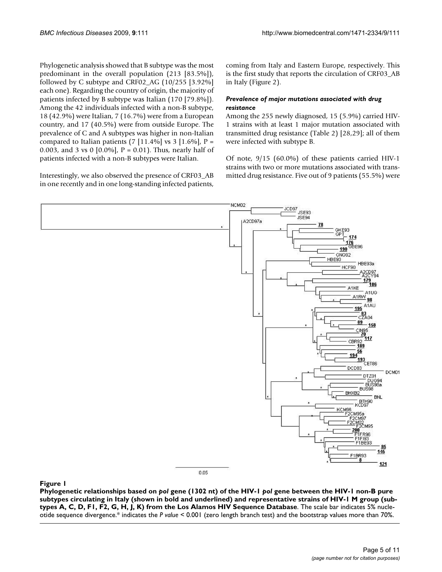Phylogenetic analysis showed that B subtype was the most predominant in the overall population (213 [83.5%]), followed by C subtype and CRF02\_AG (10/255 [3.92%] each one). Regarding the country of origin, the majority of patients infected by B subtype was Italian (170 [79.8%]). Among the 42 individuals infected with a non-B subtype, 18 (42.9%) were Italian, 7 (16.7%) were from a European country, and 17 (40.5%) were from outside Europe. The prevalence of C and A subtypes was higher in non-Italian compared to Italian patients  $(7 \mid 11.4\% \mid \text{vs } 3 \mid 1.6\% \mid P =$ 0.003, and 3 vs 0 [0.0%], P = 0.01). Thus, nearly half of patients infected with a non-B subtypes were Italian.

Interestingly, we also observed the presence of CRF03\_AB in one recently and in one long-standing infected patients,

coming from Italy and Eastern Europe, respectively. This is the first study that reports the circulation of CRF03\_AB in Italy (Figure 2).

# *Prevalence of major mutations associated with drug resistance*

Among the 255 newly diagnosed, 15 (5.9%) carried HIV-1 strains with at least 1 major mutation associated with transmitted drug resistance (Table 2) [28,29]; all of them were infected with subtype B.

Of note, 9/15 (60.0%) of these patients carried HIV-1 strains with two or more mutations associated with transmitted drug resistance. Five out of 9 patients (55.5%) were



# ing in Italy (shown in bold and underlined) and representative st from the Los Alamos HIV Sequence Database **Figure 1** Phylogenetic relationships based on *pol* gene (1302 nt) of the HIV-1 rains of HIV-1 M group (subtypes A, *pol* gene between the HIV-1 non-B pure subtypes circulat- C, D, F1, F2, G, H, J, K)

**Phylogenetic relationships based on** *pol* **gene (1302 nt) of the HIV-1** *pol* **gene between the HIV-1 non-B pure subtypes circulating in Italy (shown in bold and underlined) and representative strains of HIV-1 M group (subtypes A, C, D, F1, F2, G, H, J, K) from the Los Alamos HIV Sequence Database**. The scale bar indicates 5% nucleotide sequence divergence.\* indicates the *P value* < 0.001 (zero length branch test) and the bootstrap values more than 70%.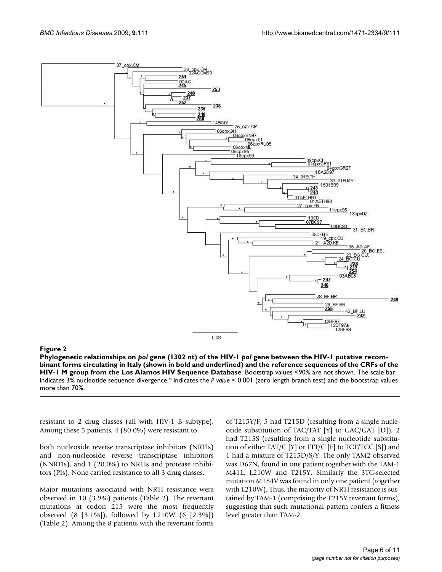

#### Figure 2 and 2008 and 2008 and 2008 and 2008 and 2008 and 2008 and 2008 and 2008 and 2008 and 2008 and 2008 an

**Phylogenetic relationships on** *pol* **gene (1302 nt) of the HIV-1** *pol* **gene between the HIV-1 putative recombinant forms circulating in Italy (shown in bold and underlined) and the reference sequences of the CRFs of the HIV-1 M group from the Los Alamos HIV Sequence Database**. Bootstrap values <90% are not shown. The scale bar indicates 3% nucleotide sequence divergence.\* indicates the *P value* < 0.001 (zero length branch test) and the bootstrap values more than 70%.

resistant to 2 drug classes (all with HIV-1 B subtype). Among these 5 patients, 4 (80.0%) were resistant to

both nucleoside reverse transcriptase inhibitors (NRTIs) and non-nucleoside reverse transcriptase inhibitors (NNRTIs), and 1 (20.0%) to NRTIs and protease inhibitors (PIs). None carried resistance to all 3 drug classes.

Major mutations associated with NRTI resistance were observed in 10 (3.9%) patients (Table 2). The revertant mutations at codon 215 were the most frequently observed (8 [3.1%]), followed by L210W (6 [2.3%]) (Table 2). Among the 8 patients with the revertant forms

of T215Y/F, 5 had T215D (resulting from a single nucleotide substitution of TAC/TAT [Y] to GAC/GAT [D]), 2 had T215S (resulting from a single nucleotide substitution of either TAT/C [Y] or TTT/C [F] to TCT/TCC [S]) and 1 had a mixture of T215D/S/Y. The only TAM2 observed was D67N, found in one patient together with the TAM-1 M41L, L210W and T215Y. Similarly the 3TC-selected mutation M184V was found in only one patient (together with L210W). Thus, the majority of NRTI resistance is sustained by TAM-1 (comprising the T215Y revertant forms), suggesting that such mutational pattern confers a fitness level greater than TAM-2.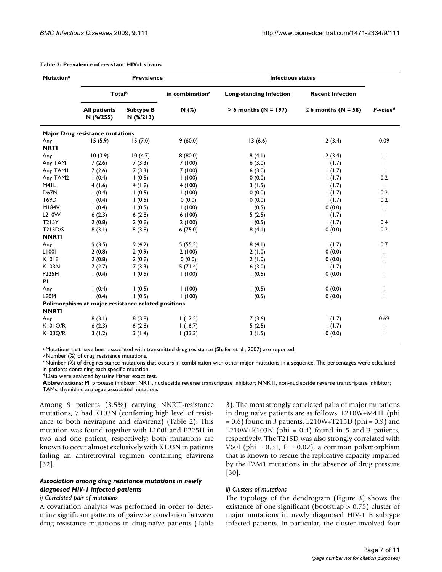| <b>Mutationa</b>   | <b>Prevalence</b>                                  |                                 |                             | <b>Infectious status</b>       |                          |                      |
|--------------------|----------------------------------------------------|---------------------------------|-----------------------------|--------------------------------|--------------------------|----------------------|
|                    | Totalb                                             |                                 | in combination <sup>c</sup> | <b>Long-standing Infection</b> | <b>Recent Infection</b>  |                      |
|                    | <b>All patients</b><br>N (%/255)                   | <b>Subtype B</b><br>$N$ (%/213) | N(%)                        | $> 6$ months (N = 197)         | $\leq$ 6 months (N = 58) | P-value <sup>d</sup> |
|                    | <b>Major Drug resistance mutations</b>             |                                 |                             |                                |                          |                      |
| Any<br><b>NRTI</b> | 15(5.9)                                            | 15(7.0)                         | 9(60.0)                     | 13(6.6)                        | 2(3.4)                   | 0.09                 |
| Any                | 10(3.9)                                            | 10(4.7)                         | 8(80.0)                     | 8(4.1)                         | 2(3.4)                   | ı                    |
| Any TAM            | 7(2.6)                                             | 7(3.3)                          | 7(100)                      | 6(3.0)                         | 1(1.7)                   |                      |
| Any TAMI           | 7(2.6)                                             | 7(3.3)                          | 7(100)                      | 6(3.0)                         | 1(1.7)                   |                      |
| Any TAM2           | 1(0.4)                                             | 1(0.5)                          | 1(100)                      | 0(0.0)                         | 1(1.7)                   | 0.2                  |
| M <sub>4</sub> IL  | 4(1.6)                                             | 4(1.9)                          | 4(100)                      | 3(1.5)                         | 1(1.7)                   | $\mathbf{I}$         |
| <b>D67N</b>        | 1(0.4)                                             | 1(0.5)                          | 1(100)                      | 0(0.0)                         | 1(1.7)                   | 0.2                  |
| T69D               | 1(0.4)                                             | (0.5)                           | 0(0.0)                      | 0(0.0)                         | 1(1.7)                   | 0.2                  |
| <b>M184V</b>       | 1(0.4)                                             | 1(0.5)                          | 1(100)                      | 1(0.5)                         | 0(0.0)                   | $\mathbf{I}$         |
| L210W              | 6(2.3)                                             | 6(2.8)                          | 6(100)                      | 5(2.5)                         | 1(1.7)                   | $\mathbf{I}$         |
| <b>T215Y</b>       | 2(0.8)                                             | 2(0.9)                          | 2(100)                      | 1(0.5)                         | 1(1.7)                   | 0.4                  |
| T215D/S            | 8(3.1)                                             | 8(3.8)                          | 6(75.0)                     | 8(4.1)                         | 0(0.0)                   | 0.2                  |
| <b>NNRTI</b>       |                                                    |                                 |                             |                                |                          |                      |
| Any                | 9(3.5)                                             | 9(4.2)                          | 5(55.5)                     | 8(4.1)                         | 1(1.7)                   | 0.7                  |
| L1001              | 2(0.8)                                             | 2(0.9)                          | 2(100)                      | 2(1.0)                         | 0(0.0)                   | ı                    |
| KIOIE              | 2(0.8)                                             | 2(0.9)                          | 0(0.0)                      | 2(1.0)                         | 0(0.0)                   |                      |
| <b>K103N</b>       | 7(2.7)                                             | 7(3.3)                          | 5(71.4)                     | 6(3.0)                         | 1(1.7)                   |                      |
| P225H              | 1(0.4)                                             | (0.5)                           | 1(100)                      | 1(0.5)                         | 0(0.0)                   |                      |
| <b>PI</b>          |                                                    |                                 |                             |                                |                          |                      |
| Any                | 1(0.4)                                             | 1(0.5)                          | 1(100)                      | 1(0.5)                         | 0(0.0)                   | ı                    |
| L90M               | 1(0.4)                                             | 1(0.5)                          | 1(100)                      | 1(0.5)                         | 0(0.0)                   | ı                    |
| <b>NNRTI</b>       | Polimorphism at major resistance related positions |                                 |                             |                                |                          |                      |
| Any                | 8(3.1)                                             | 8(3.8)                          | 1(12.5)                     | 7(3.6)                         | 1(1.7)                   | 0.69                 |
| KI0IQ/R            | 6(2.3)                                             | 6(2.8)                          | 1(16.7)                     | 5(2.5)                         | 1(1.7)                   |                      |
| <b>K103O/R</b>     | 3(1.2)                                             | 3(1.4)                          | (33.3)                      | 3(1.5)                         | 0(0.0)                   |                      |

#### **Table 2: Prevalence of resistant HIV-1 strains**

a Mutations that have been associated with transmitted drug resistance (Shafer et al., 2007) are reported.

b Number (%) of drug resistance mutations.

c Number (%) of drug resistance mutations that occurs in combination with other major mutations in a sequence. The percentages were calculated in patients containing each specific mutation.

d Data were analyzed by using Fisher exact test.

**Abbreviations:** PI, protease inhibitor; NRTI, nucleoside reverse transcriptase inhibitor; NNRTI, non-nucleoside reverse transcriptase inhibitor; TAMs, thymidine analogue associated mutations

Among 9 patients (3.5%) carrying NNRTI-resistance mutations, 7 had K103N (conferring high level of resistance to both nevirapine and efavirenz) (Table 2). This mutation was found together with L100I and P225H in two and one patient, respectively; both mutations are known to occur almost exclusively with K103N in patients failing an antiretroviral regimen containing efavirenz [32].

# *Association among drug resistance mutations in newly diagnosed HIV-1 infected patients*

#### *i) Correlated pair of mutations*

A covariation analysis was performed in order to determine significant patterns of pairwise correlation between drug resistance mutations in drug-naïve patients (Table 3). The most strongly correlated pairs of major mutations in drug naïve patients are as follows: L210W+M41L (phi  $= 0.6$ ) found in 3 patients, L210W+T215D (phi  $= 0.9$ ) and L210W+K103N (phi =  $0.4$ ) found in 5 and 3 patients, respectively. The T215D was also strongly correlated with V60I (phi =  $0.31$ , P =  $0.02$ ), a common polymorphism that is known to rescue the replicative capacity impaired by the TAM1 mutations in the absence of drug pressure [30].

#### *ii) Clusters of mutations*

The topology of the dendrogram (Figure 3) shows the existence of one significant (bootstrap > 0.75) cluster of major mutations in newly diagnosed HIV-1 B subtype infected patients. In particular, the cluster involved four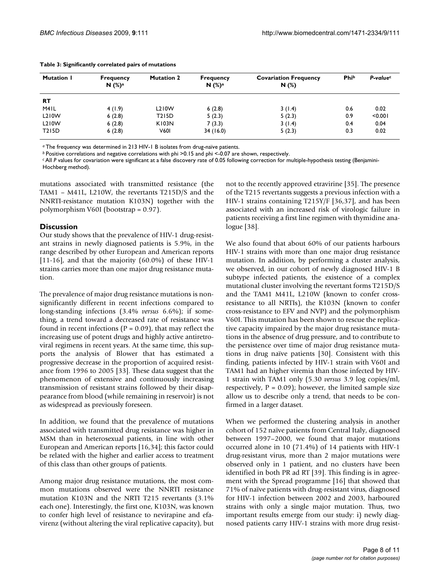| <b>Mutation I</b> | <b>Frequency</b><br>$N$ $(\%)^a$ | <b>Mutation 2</b> | <b>Frequency</b><br>$N$ $(\%)^a$ | <b>Covariation Frequency</b><br>N(%) | <b>Phib</b> | P-value <sup>c</sup> |
|-------------------|----------------------------------|-------------------|----------------------------------|--------------------------------------|-------------|----------------------|
| <b>RT</b>         |                                  |                   |                                  |                                      |             |                      |
| M <sub>4</sub> IL | 4(1.9)                           | L210W             | 6(2.8)                           | 3(1.4)                               | 0.6         | 0.02                 |
| L210W             | 6(2.8)                           | T215D             | 5(2.3)                           | 5(2.3)                               | 0.9         | < 0.001              |
| L210W             | 6(2.8)                           | K103N             | 7(3.3)                           | 3(1.4)                               | 0.4         | 0.04                 |
| T215D             | 6(2.8)                           | <b>V601</b>       | 34(16.0)                         | 5(2.3)                               | 0.3         | 0.02                 |

#### **Table 3: Significantly correlated pairs of mutations**

*<sup>a</sup>*The frequency was determined in 213 HIV-1 B isolates from drug-naïve patients.

*b* Positive correlations and negative correlations with phi >0.15 and phi <-0.07 are shown, respectively.

*c* All *P* values for covariation were significant at a false discovery rate of 0.05 following correction for multiple-hypothesis testing (Benjamini-

Hochberg method).

mutations associated with transmitted resistance (the TAM1 – M41L, L210W, the revertants T215D/S and the NNRTI-resistance mutation K103N) together with the polymorphism V60I (bootstrap = 0.97).

# **Discussion**

Our study shows that the prevalence of HIV-1 drug-resistant strains in newly diagnosed patients is 5.9%, in the range described by other European and American reports [11-16], and that the majority (60.0%) of these HIV-1 strains carries more than one major drug resistance mutation.

The prevalence of major drug resistance mutations is nonsignificantly different in recent infections compared to long-standing infections (3.4% *versus* 6.6%); if something, a trend toward a decreased rate of resistance was found in recent infections ( $P = 0.09$ ), that may reflect the increasing use of potent drugs and highly active antiretroviral regimens in recent years. At the same time, this supports the analysis of Blower that has estimated a progressive decrease in the proportion of acquired resistance from 1996 to 2005 [33]. These data suggest that the phenomenon of extensive and continuously increasing transmission of resistant strains followed by their disappearance from blood (while remaining in reservoir) is not as widespread as previously foreseen.

In addition, we found that the prevalence of mutations associated with transmitted drug resistance was higher in MSM than in heterosexual patients, in line with other European and American reports [16,34]; this factor could be related with the higher and earlier access to treatment of this class than other groups of patients.

Among major drug resistance mutations, the most common mutations observed were the NNRTI resistance mutation K103N and the NRTI T215 revertants (3.1% each one). Interestingly, the first one, K103N, was known to confer high level of resistance to nevirapine and efavirenz (without altering the viral replicative capacity), but not to the recently approved etravirine [35]. The presence of the T215 revertants suggests a previous infection with a HIV-1 strains containing T215Y/F [36,37], and has been associated with an increased risk of virologic failure in patients receiving a first line regimen with thymidine analogue [38].

We also found that about 60% of our patients harbours HIV-1 strains with more than one major drug resistance mutation. In addition, by performing a cluster analysis, we observed, in our cohort of newly diagnosed HIV-1 B subtype infected patients, the existence of a complex mutational cluster involving the revertant forms T215D/S and the TAM1 M41L, L210W (known to confer crossresistance to all NRTIs), the K103N (known to confer cross-resistance to EFV and NVP) and the polymorphism V60I. This mutation has been shown to rescue the replicative capacity impaired by the major drug resistance mutations in the absence of drug pressure, and to contribute to the persistence over time of major drug resistance mutations in drug naïve patients [30]. Consistent with this finding, patients infected by HIV-1 strain with V60I and TAM1 had an higher viremia than those infected by HIV-1 strain with TAM1 only (5.30 *versus* 3.9 log copies/ml, respectively,  $P = 0.09$ ; however, the limited sample size allow us to describe only a trend, that needs to be confirmed in a larger dataset.

When we performed the clustering analysis in another cohort of 152 naïve patients from Central Italy, diagnosed between 1997–2000, we found that major mutations occurred alone in 10 (71.4%) of 14 patients with HIV-1 drug-resistant virus, more than 2 major mutations were observed only in 1 patient, and no clusters have been identified in both PR ad RT [39]. This finding is in agreement with the Spread programme [16] that showed that 71% of naïve patients with drug-resistant virus, diagnosed for HIV-1 infection between 2002 and 2003, harboured strains with only a single major mutation. Thus, two important results emerge from our study: i) newly diagnosed patients carry HIV-1 strains with more drug resist-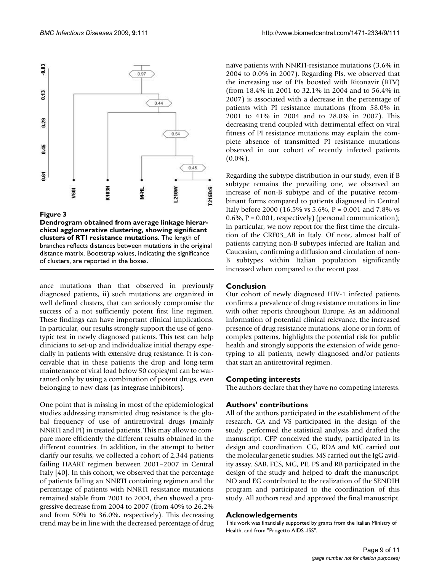

#### Figure 3

**Dendrogram obtained from average linkage hierarchical agglomerative clustering, showing significant clusters of RTI resistance mutations**. The length of branches reflects distances between mutations in the original distance matrix. Bootstrap values, indicating the significance of clusters, are reported in the boxes.

ance mutations than that observed in previously diagnosed patients, ii) such mutations are organized in well defined clusters, that can seriously compromise the success of a not sufficiently potent first line regimen. These findings can have important clinical implications. In particular, our results strongly support the use of genotypic test in newly diagnosed patients. This test can help clinicians to set-up and individualize initial therapy especially in patients with extensive drug resistance. It is conceivable that in these patients the drop and long-term maintenance of viral load below 50 copies/ml can be warranted only by using a combination of potent drugs, even belonging to new class (as integrase inhibitors).

One point that is missing in most of the epidemiological studies addressing transmitted drug resistance is the global frequency of use of antiretroviral drugs (mainly NNRTI and PI) in treated patients. This may allow to compare more efficiently the different results obtained in the different countries. In addition, in the attempt to better clarify our results, we collected a cohort of 2,344 patients failing HAART regimen between 2001–2007 in Central Italy [40]. In this cohort, we observed that the percentage of patients failing an NNRTI containing regimen and the percentage of patients with NNRTI resistance mutations remained stable from 2001 to 2004, then showed a progressive decrease from 2004 to 2007 (from 40% to 26.2% and from 50% to 36.0%, respectively). This decreasing trend may be in line with the decreased percentage of drug naïve patients with NNRTI-resistance mutations (3.6% in 2004 to 0.0% in 2007). Regarding PIs, we observed that the increasing use of PIs boosted with Ritonavir (RTV) (from 18.4% in 2001 to 32.1% in 2004 and to 56.4% in 2007) is associated with a decrease in the percentage of patients with PI resistance mutations (from 58.0% in 2001 to 41% in 2004 and to 28.0% in 2007). This decreasing trend coupled with detrimental effect on viral fitness of PI resistance mutations may explain the complete absence of transmitted PI resistance mutations observed in our cohort of recently infected patients  $(0.0\%)$ .

Regarding the subtype distribution in our study, even if B subtype remains the prevailing one, we observed an increase of non-B subtype and of the putative recombinant forms compared to patients diagnosed in Central Italy before 2000 (16.5% vs 5.6%, P = 0.001 and 7.8% vs  $0.6\%$ ,  $P = 0.001$ , respectively) (personal communication); in particular, we now report for the first time the circulation of the CRF03\_AB in Italy. Of note, almost half of patients carrying non-B subtypes infected are Italian and Caucasian, confirming a diffusion and circulation of non-B subtypes within Italian population significantly increased when compared to the recent past.

#### **Conclusion**

Our cohort of newly diagnosed HIV-1 infected patients confirms a prevalence of drug resistance mutations in line with other reports throughout Europe. As an additional information of potential clinical relevance, the increased presence of drug resistance mutations, alone or in form of complex patterns, highlights the potential risk for public health and strongly supports the extension of wide genotyping to all patients, newly diagnosed and/or patients that start an antiretroviral regimen.

#### **Competing interests**

The authors declare that they have no competing interests.

# **Authors' contributions**

All of the authors participated in the establishment of the research. CA and VS participated in the design of the study, performed the statistical analysis and drafted the manuscript. CFP conceived the study, participated in its design and coordination. CG, RDA and MC carried out the molecular genetic studies. MS carried out the IgG avidity assay. SAB, FCS, MG, PE, PS and RB participated in the design of the study and helped to draft the manuscript. NO and EG contributed to the realization of the SENDIH program and participated to the coordination of this study. All authors read and approved the final manuscript.

#### **Acknowledgements**

This work was financially supported by grants from the Italian Ministry of Health, and from "Progetto AIDS -ISS".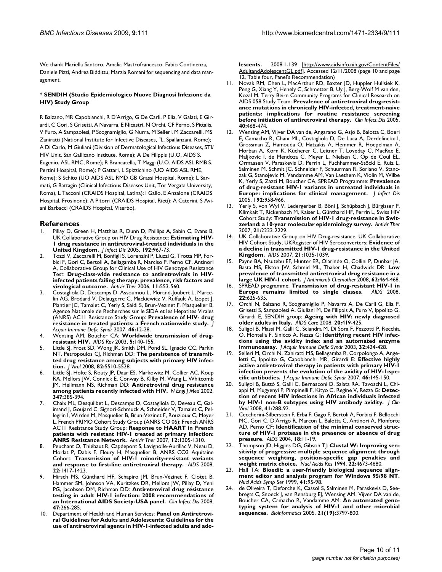We thank Mariella Santoro, Amalia Mastrofrancesco, Fabio Continenza, Daniele Pizzi, Andrea Biddittu, Marzia Romani for sequencing and data management.

#### **\* SENDIH (Studio Epidemiologico Nuove Diagnosi Infezione da HIV) Study Group**

R Balzano, MR Capobianchi, R D'Arrigo, G De Carli, P Elia, V Galati, E Girardi, C Gori, S Grisetti, A Navarra, E Nicastri, N Orchi, CF Perno, S Pittalis, V Puro, A Sampaolesi, P Scognamiglio, G Nurra, M Selleri, M Zaccarelli, MS Zaniratti (National Institute for Infective Diseases, "L. Spallanzani, Rome); A Di Carlo, M Giuliani (Division of Dermatological Infectious Diseases, STI/ HIV Unit, San Gallicano Institute, Rome); A De Filippis (U.O. AIDS S. Eugenio, ASL RMC, Rome); R Brancatella, T Maggi (U.O. AIDS ASL RMB S. Pertini Hospital, Rome); P Gattari, L Spizzichino (UO AIDS ASL RME, Rome); S Schito (UO AIDS ASL RMD GB Grassi Hospital, Rome); L Sarmati, G Battagin (Clinical Infectious Diseases Unit, Tor Vergata University, Roma), L Tacconi (CRAIDS Hospital, Latina); I Gallo, E Anzalone (CRAIDS Hospital, Frosinone); A Pitorri (CRAIDS Hospital, Rieti); A Caterini, S Aviani Barbacci (CRAIDS Hospital, Viterbo).

#### **References**

- Pillay D, Green H, Matthias R, Dunn D, Phillips A, Sabin C, Evans B, UK Collaborative Group on HIV Drug Resistance: **[Estimating HIV-](http://www.ncbi.nlm.nih.gov/entrez/query.fcgi?cmd=Retrieve&db=PubMed&dopt=Abstract&list_uids=16107948)[1 drug resistance in antiretroviral-treated individuals in the](http://www.ncbi.nlm.nih.gov/entrez/query.fcgi?cmd=Retrieve&db=PubMed&dopt=Abstract&list_uids=16107948) [United Kingdom.](http://www.ncbi.nlm.nih.gov/entrez/query.fcgi?cmd=Retrieve&db=PubMed&dopt=Abstract&list_uids=16107948)** *J Infect Dis* 2005, **192:**967-73.
- 2. Tozzi V, Zaccarelli M, Bonfigli S, Lorenzini P, Liuzzi G, Trotta MP, Forbici F, Gori C, Bertoli A, Bellagamba R, Narciso P, Perno CF, Antinori A, Collaborative Group for Clinical Use of HIV Genotype Resistance Test: **[Drug-class-wide resistance to antiretrovirals in HIV](http://www.ncbi.nlm.nih.gov/entrez/query.fcgi?cmd=Retrieve&db=PubMed&dopt=Abstract&list_uids=16964822)[infected patients failing therapy: prevalence, risk factors and](http://www.ncbi.nlm.nih.gov/entrez/query.fcgi?cmd=Retrieve&db=PubMed&dopt=Abstract&list_uids=16964822) [virological outcome.](http://www.ncbi.nlm.nih.gov/entrez/query.fcgi?cmd=Retrieve&db=PubMed&dopt=Abstract&list_uids=16964822)** *Antivir Ther* 2006, **11:**553-560.
- Costagliola D, Descamps D, Assoumou L, Morand-Joubert L, Marcelin AG, Brodard V, Delaugerre C, Mackiewicz V, Ruffault A, Izopet J, Plantier JC, Tamalet C, Yerly S, Saidi S, Brun-Vezinet F, Masquelier B, Agence Nationale de Recherches sur le SIDA et les Hepatites Virales (ANRS) AC11 Resistance Study Group: **[Prevalence of HIV- drug](http://www.ncbi.nlm.nih.gov/entrez/query.fcgi?cmd=Retrieve&db=PubMed&dopt=Abstract&list_uids=17514016) [resistance in treated patients: a French nationwide study.](http://www.ncbi.nlm.nih.gov/entrez/query.fcgi?cmd=Retrieve&db=PubMed&dopt=Abstract&list_uids=17514016)** *J Acquir Immune Defic Syndr* 2007, **46:**12-28.
- 4. Wensing AM, Boucher CA: **[Worldwide transmission of drug](http://www.ncbi.nlm.nih.gov/entrez/query.fcgi?cmd=Retrieve&db=PubMed&dopt=Abstract&list_uids=14598563)[resistant HIV.](http://www.ncbi.nlm.nih.gov/entrez/query.fcgi?cmd=Retrieve&db=PubMed&dopt=Abstract&list_uids=14598563)** *AIDS Rev* 2003, **5:**140-155.
- 5. Little SJ, Frost SD, Wong JK, Smith DM, Pond SL, Ignacio CC, Parkin NT, Petropoulos CJ, Richman DD: **[The persistence of transmit](http://www.ncbi.nlm.nih.gov/entrez/query.fcgi?cmd=Retrieve&db=PubMed&dopt=Abstract&list_uids=18353964)[ted drug resistance among subjects with primary HIV infec](http://www.ncbi.nlm.nih.gov/entrez/query.fcgi?cmd=Retrieve&db=PubMed&dopt=Abstract&list_uids=18353964)[tion.](http://www.ncbi.nlm.nih.gov/entrez/query.fcgi?cmd=Retrieve&db=PubMed&dopt=Abstract&list_uids=18353964)** *J Virol* 2008, **82:**5510-5528.
- 6. Little SJ, Holte S, Routy JP, Daar ES, Markowitz M, Collier AC, Koup RA, Mellors JW, Connick E, Conway B, Kilby M, Wang L, Whitcomb JM, Hellmann NS, Richman DD: **[Antiretroviral drug resistance](http://www.ncbi.nlm.nih.gov/entrez/query.fcgi?cmd=Retrieve&db=PubMed&dopt=Abstract&list_uids=12167680) [among patients recently infected with HIV.](http://www.ncbi.nlm.nih.gov/entrez/query.fcgi?cmd=Retrieve&db=PubMed&dopt=Abstract&list_uids=12167680)** *N Engl J Med* 2002, **347:**385-394.
- 7. Chaix ML, Desquilbet L, Descamps D, Costagliola D, Deveau C, Galimand J, Goujard C, Signori-Schmuck A, Schneider V, Tamalet C, Pellegrin I, Wirden M, Masquelier B, Brun-Vezinet F, Rouzioux C, Meyer L, French PRIMO Cohort Study Group (ANRS CO 06); French ANRS AC11 Resistance Study Group: **[Response to HAART in French](http://www.ncbi.nlm.nih.gov/entrez/query.fcgi?cmd=Retrieve&db=PubMed&dopt=Abstract&list_uids=18240870) [patients with resistant HIV-1 treated at primary infection:](http://www.ncbi.nlm.nih.gov/entrez/query.fcgi?cmd=Retrieve&db=PubMed&dopt=Abstract&list_uids=18240870) [ANRS Resistance Network.](http://www.ncbi.nlm.nih.gov/entrez/query.fcgi?cmd=Retrieve&db=PubMed&dopt=Abstract&list_uids=18240870)** *Antivir Ther* 2007, **12:**1305-1310.
- 8. Peuchant O, Thiébaut R, Capdepont S, Lavignolle-Aurillac V, Neau D, Morlat P, Dabis F, Fleury H, Masquelier B, ANRS CO3 Aquitaine Cohort: **[Transmission of HIV-1 minority-resistant variants](http://www.ncbi.nlm.nih.gov/entrez/query.fcgi?cmd=Retrieve&db=PubMed&dopt=Abstract&list_uids=18614864) [and response to first-line antiretroviral therapy.](http://www.ncbi.nlm.nih.gov/entrez/query.fcgi?cmd=Retrieve&db=PubMed&dopt=Abstract&list_uids=18614864)** *AIDS* 2008, **22:**1417-1423.
- 9. Hirsch MS, Günthard HF, Schapiro JM, Brun-Vézinet F, Clotet B, Hammer SM, Johnson VA, Kuritzkes DR, Mellors JW, Pillay D, Yeni PG, Jacobsen DM, Richman DD: **[Antiretroviral drug resistance](http://www.ncbi.nlm.nih.gov/entrez/query.fcgi?cmd=Retrieve&db=PubMed&dopt=Abstract&list_uids=18549313) [testing in adult HIV-1 infection: 2008 recommendations of](http://www.ncbi.nlm.nih.gov/entrez/query.fcgi?cmd=Retrieve&db=PubMed&dopt=Abstract&list_uids=18549313) [an International AIDS Society-USA panel.](http://www.ncbi.nlm.nih.gov/entrez/query.fcgi?cmd=Retrieve&db=PubMed&dopt=Abstract&list_uids=18549313)** *Clin Infect Dis* 2008, **47:**266-285.
- 10. Department of Health and Human Services: **Panel on Antiretroviral Guidelines for Adults and Adolescents: Guidelines for the use of antiretroviral agents in HIV-1-infected adults and ado-**

**lescents.** 2008:1-139 [[http://www.aidsinfo.nih.gov/ContentFiles/](http://www.aidsinfo.nih.gov/ContentFiles/AdultandAdolescentGL.pdf) [AdultandAdolescentGL.pdf\]](http://www.aidsinfo.nih.gov/ContentFiles/AdultandAdolescentGL.pdf). Accessed 12/11/2008 (page 10 and page 12, Table four, Panel's Recommendation)

- 11. Novak RM, Chen L, MacArthur RD, Baxter JD, Huppler Hullsiek K, Peng G, Xiang Y, Henely C, Schmetter B, Uy J, Berg-Wolf M van den, Kozal M, Terry Beirn Community Programs for Clinical Research on AIDS 058 Study Team: **[Prevalence of antiretroviral drug-resist](http://www.ncbi.nlm.nih.gov/entrez/query.fcgi?cmd=Retrieve&db=PubMed&dopt=Abstract&list_uids=15668873)[ance mutations in chronically HIV-infected, treatment-naive](http://www.ncbi.nlm.nih.gov/entrez/query.fcgi?cmd=Retrieve&db=PubMed&dopt=Abstract&list_uids=15668873) patients: implications for routine resistance screening [before initiation of antiretroviral therapy.](http://www.ncbi.nlm.nih.gov/entrez/query.fcgi?cmd=Retrieve&db=PubMed&dopt=Abstract&list_uids=15668873)** *Clin Infect Dis* 2005, **40:**468-474.
- 12. Wensing AM, Vijver DA van de, Angarano G, Asjö B, Balotta C, Boeri E, Camacho R, Chaix ML, Costagliola D, De Luca A, Derdelinckx I, Grossman Z, Hamouda O, Hatzakis A, Hemmer R, Hoepelman A, Horban A, Korn K, Kücherer C, Leitner T, Loveday C, MacRae E, Maljkovic I, de Mendoza C, Meyer L, Nielsen C, Op de Coul EL, Ormaasen V, Paraskevis D, Perrin L, Puchhammer-Stöckl E, Ruiz L, Salminen M, Schmit JC, Schneider F, Schuurman R, Soriano V, Stanczak G, Stanojevic M, Vandamme AM, Van Laethem K, Violin M, Wilbe K, Yerly S, Zazzi M, Boucher CA, SPREAD Programme: **[Prevalence](http://www.ncbi.nlm.nih.gov/entrez/query.fcgi?cmd=Retrieve&db=PubMed&dopt=Abstract&list_uids=16107947) [of drug-resistant HIV-1 variants in untreated individuals in](http://www.ncbi.nlm.nih.gov/entrez/query.fcgi?cmd=Retrieve&db=PubMed&dopt=Abstract&list_uids=16107947) [Europe: implications for clinical management.](http://www.ncbi.nlm.nih.gov/entrez/query.fcgi?cmd=Retrieve&db=PubMed&dopt=Abstract&list_uids=16107947)** *J Infect Dis* 2005, **192:**958-966.
- 13. Yerly S, von Wyl V, Ledergerber B, Böni J, Schüpbach J, Bürgisser P, Klimkait T, Rickenbach M, Kaiser L, Günthard HF, Perrin L, Swiss HIV Cohort Study: **Transmission of HIV-1 drug-resistance in Switzerland: a 10-year molecular epidemiology survey.** *Antivir Ther* 2007, **21:**2223-2229.
- 14. UK Collaborative Group on HIV Drug-resistance, UK Collaborative HIV Cohort Study, UKRegister of HIV Seroconverters: **[Evidence of](http://www.ncbi.nlm.nih.gov/entrez/query.fcgi?cmd=Retrieve&db=PubMed&dopt=Abstract&list_uids=17457098) [a decline in transmitted HIV-1 drug-resistance in the United](http://www.ncbi.nlm.nih.gov/entrez/query.fcgi?cmd=Retrieve&db=PubMed&dopt=Abstract&list_uids=17457098) [Kingdom.](http://www.ncbi.nlm.nih.gov/entrez/query.fcgi?cmd=Retrieve&db=PubMed&dopt=Abstract&list_uids=17457098)** *AIDS* 2007, **21:**1035-1039.
- 15. Payne BA, Nsutebu EF, Hunter ER, Olarinde O, Collini P, Dunbar JA, Basta MS, Elston JW, Schmid ML, Thaker H, Chadwick DR: **[Low](http://www.ncbi.nlm.nih.gov/entrez/query.fcgi?cmd=Retrieve&db=PubMed&dopt=Abstract&list_uids=18552342) [prevalence of transmitted antiretroviral drug resistance in a](http://www.ncbi.nlm.nih.gov/entrez/query.fcgi?cmd=Retrieve&db=PubMed&dopt=Abstract&list_uids=18552342) [large UK HIV-1 cohort.](http://www.ncbi.nlm.nih.gov/entrez/query.fcgi?cmd=Retrieve&db=PubMed&dopt=Abstract&list_uids=18552342)** *J Antimicrob Chemother* 2008, **62:**464-468.
- 16. SPREAD programme: **[Transmission of drug-resistant HIV-1 in](http://www.ncbi.nlm.nih.gov/entrez/query.fcgi?cmd=Retrieve&db=PubMed&dopt=Abstract&list_uids=18317004) [Europe remains limited to single classes.](http://www.ncbi.nlm.nih.gov/entrez/query.fcgi?cmd=Retrieve&db=PubMed&dopt=Abstract&list_uids=18317004) 22:**625-635.
- Orchi N, Balzano R, Scognamiglio P, Navarra A, De Carli G, Elia P, Grisetti S, Sampaolesi A, Giuliani M, De Filippis A, Puro V, Ippolito G, Girardi E, SENDIH group: **[Ageing with HIV: newly diagnosed](http://www.ncbi.nlm.nih.gov/entrez/query.fcgi?cmd=Retrieve&db=PubMed&dopt=Abstract&list_uids=18449818) [older adults in Italy.](http://www.ncbi.nlm.nih.gov/entrez/query.fcgi?cmd=Retrieve&db=PubMed&dopt=Abstract&list_uids=18449818)** *AIDS Care* 2008, **20:**419-425.
- 18. Suligoi B, Massi M, Galli C, Sciandra M, Di Sora F, Pezzotti P, Recchia O, Montella F, Sinicco A, Rezza G: **[Identifying recent HIV infec](http://www.ncbi.nlm.nih.gov/entrez/query.fcgi?cmd=Retrieve&db=PubMed&dopt=Abstract&list_uids=12640201)[tions using the avidity index and an automated enzyme](http://www.ncbi.nlm.nih.gov/entrez/query.fcgi?cmd=Retrieve&db=PubMed&dopt=Abstract&list_uids=12640201) [immunoassay.](http://www.ncbi.nlm.nih.gov/entrez/query.fcgi?cmd=Retrieve&db=PubMed&dopt=Abstract&list_uids=12640201)** *J Acquir Immune Defic Syndr* 2003, **32:**424-428.
- Selleri M, Orchi N, Zaniratti MS, Bellagamba R, Corpolongo A, Angeletti C, Ippolito G, Capobianchi MR, Girardi E: **[Effective highly](http://www.ncbi.nlm.nih.gov/entrez/query.fcgi?cmd=Retrieve&db=PubMed&dopt=Abstract&list_uids=17589369) [active antiretroviral therapy in patients with primary HIV-1](http://www.ncbi.nlm.nih.gov/entrez/query.fcgi?cmd=Retrieve&db=PubMed&dopt=Abstract&list_uids=17589369) infection prevents the evolution of the avidity of HIV-1-spe[cific antibodies.](http://www.ncbi.nlm.nih.gov/entrez/query.fcgi?cmd=Retrieve&db=PubMed&dopt=Abstract&list_uids=17589369)** *J Acquir Immune Defic Syndr* 2007, **46:**145-150.
- 20. Suligoi B, Buttò S, Galli C, Bernasconi D, Salata RA, Tavoschi L, Chiappi M, Mugyenyi P, Pimpinelli F, Kityo C, Regine V, Rezza G: **[Detec](http://www.ncbi.nlm.nih.gov/entrez/query.fcgi?cmd=Retrieve&db=PubMed&dopt=Abstract&list_uids=18248848)[tion of recent HIV infections in African individuals infected](http://www.ncbi.nlm.nih.gov/entrez/query.fcgi?cmd=Retrieve&db=PubMed&dopt=Abstract&list_uids=18248848) [by HIV-1 non-B subtypes using HIV antibody avidity.](http://www.ncbi.nlm.nih.gov/entrez/query.fcgi?cmd=Retrieve&db=PubMed&dopt=Abstract&list_uids=18248848)** *J Clin Virol* 2008, **41:**288-92.
- 21. Ceccherini-Silberstein F, Erba F, Gago F, Bertoli A, Forbici F, Bellocchi MC, Gori C, D'Arrigo R, Marcon L, Balotta C, Antinori A, Monforte AD, Perno CF: **Identification of the minimal conserved structure of HIV-1 protease in the presence or absence of drug pressure.** *AIDS* 2004, **18:**11-19.
- Thompson JD, Higgins DG, Gibson TJ: **[Clustal W: Improving sen](http://www.ncbi.nlm.nih.gov/entrez/query.fcgi?cmd=Retrieve&db=PubMed&dopt=Abstract&list_uids=7984417)[sitivity of progressive multiple sequence alignment through](http://www.ncbi.nlm.nih.gov/entrez/query.fcgi?cmd=Retrieve&db=PubMed&dopt=Abstract&list_uids=7984417) sequence weighting, position-specific gap penalties and [weight matrix choice.](http://www.ncbi.nlm.nih.gov/entrez/query.fcgi?cmd=Retrieve&db=PubMed&dopt=Abstract&list_uids=7984417)** *Nucl Acids Res* 1994, **22:**4673-4680.
- 23. Hall TA: **Bioedit: a user-friendly biological sequence alignment editor and analysis program for Windows 95/98 NT.** *Nucl Acids Symp Ser* 1999, **41:**95-98.
- 24. de Oliveira T, Deforche K, Cassol S, Salminen M, Paraskevis D, Seebregts C, Snoeck J, van Rensburg EJ, Wensing AM, Vijver DA van de, Boucher CA, Camacho R, Vandamme AM: **[An automated geno](http://www.ncbi.nlm.nih.gov/entrez/query.fcgi?cmd=Retrieve&db=PubMed&dopt=Abstract&list_uids=16076886)[typing system for analysis of HIV-1 and other microbial](http://www.ncbi.nlm.nih.gov/entrez/query.fcgi?cmd=Retrieve&db=PubMed&dopt=Abstract&list_uids=16076886) [sequences.](http://www.ncbi.nlm.nih.gov/entrez/query.fcgi?cmd=Retrieve&db=PubMed&dopt=Abstract&list_uids=16076886)** *Bioinformatics* 2005, **21(19):**3797-800.